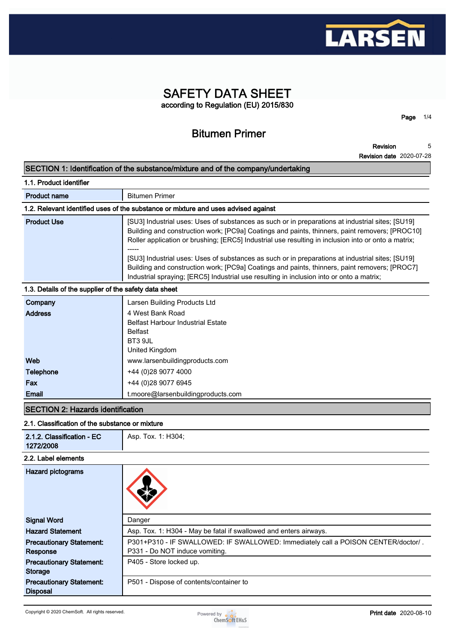

# **SAFETY DATA SHEET according to Regulation (EU) 2015/830**

# **Bitumen Primer**

**Revision 5**

**Page 1/4**

**Revision date 2020-07-28**

# **SECTION 1: Identification of the substance/mixture and of the company/undertaking**

| 1.1. Product identifier                               |                                                                                                                                                                                                                                                                                                                                                                                                                                                                                                                                                                                                            |
|-------------------------------------------------------|------------------------------------------------------------------------------------------------------------------------------------------------------------------------------------------------------------------------------------------------------------------------------------------------------------------------------------------------------------------------------------------------------------------------------------------------------------------------------------------------------------------------------------------------------------------------------------------------------------|
| <b>Product name</b>                                   | <b>Bitumen Primer</b>                                                                                                                                                                                                                                                                                                                                                                                                                                                                                                                                                                                      |
|                                                       | 1.2. Relevant identified uses of the substance or mixture and uses advised against                                                                                                                                                                                                                                                                                                                                                                                                                                                                                                                         |
| <b>Product Use</b>                                    | [SU3] Industrial uses: Uses of substances as such or in preparations at industrial sites; [SU19]<br>Building and construction work; [PC9a] Coatings and paints, thinners, paint removers; [PROC10]<br>Roller application or brushing; [ERC5] Industrial use resulting in inclusion into or onto a matrix;<br>[SU3] Industrial uses: Uses of substances as such or in preparations at industrial sites; [SU19]<br>Building and construction work; [PC9a] Coatings and paints, thinners, paint removers; [PROC7]<br>Industrial spraying; [ERC5] Industrial use resulting in inclusion into or onto a matrix; |
| 1.3. Details of the supplier of the safety data sheet |                                                                                                                                                                                                                                                                                                                                                                                                                                                                                                                                                                                                            |
| Company                                               | Larsen Building Products Ltd                                                                                                                                                                                                                                                                                                                                                                                                                                                                                                                                                                               |
| <b>Address</b>                                        | 4 West Bank Road<br><b>Belfast Harbour Industrial Estate</b><br><b>Belfast</b><br>BT3 9JL<br>United Kingdom                                                                                                                                                                                                                                                                                                                                                                                                                                                                                                |
| Web                                                   | www.larsenbuildingproducts.com                                                                                                                                                                                                                                                                                                                                                                                                                                                                                                                                                                             |
| <b>Telephone</b>                                      | +44 (0)28 9077 4000                                                                                                                                                                                                                                                                                                                                                                                                                                                                                                                                                                                        |
| Fax                                                   | +44 (0)28 9077 6945                                                                                                                                                                                                                                                                                                                                                                                                                                                                                                                                                                                        |
| <b>Email</b>                                          | t.moore@larsenbuildingproducts.com                                                                                                                                                                                                                                                                                                                                                                                                                                                                                                                                                                         |

# **SECTION 2: Hazards identification**

### **2.1. Classification of the substance or mixture**

| 2.1.2. Classification - EC      | Asp. Tox. 1: H304;                                                                |
|---------------------------------|-----------------------------------------------------------------------------------|
| 1272/2008                       |                                                                                   |
| 2.2. Label elements             |                                                                                   |
| Hazard pictograms               |                                                                                   |
| <b>Signal Word</b>              | Danger                                                                            |
| <b>Hazard Statement</b>         | Asp. Tox. 1: H304 - May be fatal if swallowed and enters airways.                 |
| <b>Precautionary Statement:</b> | P301+P310 - IF SWALLOWED: IF SWALLOWED: Immediately call a POISON CENTER/doctor/. |
| Response                        | P331 - Do NOT induce vomiting.                                                    |
| <b>Precautionary Statement:</b> | P405 - Store locked up.                                                           |
| <b>Storage</b>                  |                                                                                   |
| <b>Precautionary Statement:</b> | P501 - Dispose of contents/container to                                           |
| <b>Disposal</b>                 |                                                                                   |

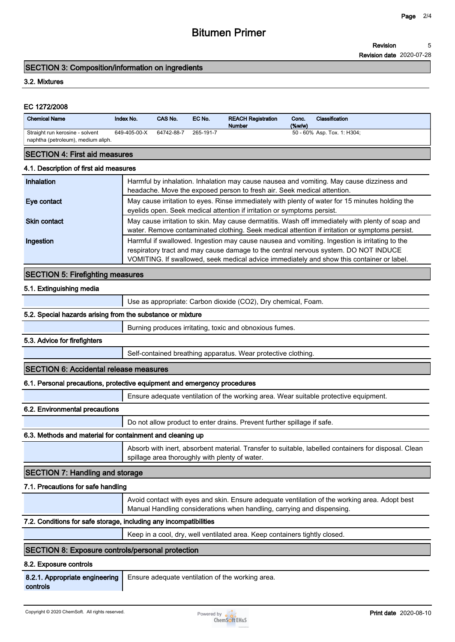# **Bitumen Primer**

**Revision 5**

**Revision date 2020-07-28**

#### **SECTION 3: Composition/information on ingredients**

#### **3.2. Mixtures**

#### **EC 1272/2008**

| <b>Chemical Name</b>                                                  | Index No.    | CAS No.    | EC No.    | <b>REACH Registration</b><br><b>Number</b> | Conc.<br>$(\%w/w)$ | Classification              |
|-----------------------------------------------------------------------|--------------|------------|-----------|--------------------------------------------|--------------------|-----------------------------|
| Straight run kerosine - solvent<br>naphtha (petroleum), medium aliph. | 649-405-00-X | 64742-88-7 | 265-191-7 |                                            |                    | 50 - 60% Asp. Tox. 1: H304; |

#### **SECTION 4: First aid measures**

#### **4.1. Description of first aid measures**

| Inhalation          | Harmful by inhalation. Inhalation may cause nausea and vomiting. May cause dizziness and<br>headache. Move the exposed person to fresh air. Seek medical attention.                                                                                                               |
|---------------------|-----------------------------------------------------------------------------------------------------------------------------------------------------------------------------------------------------------------------------------------------------------------------------------|
| Eye contact         | May cause irritation to eyes. Rinse immediately with plenty of water for 15 minutes holding the<br>eyelids open. Seek medical attention if irritation or symptoms persist.                                                                                                        |
| <b>Skin contact</b> | May cause irritation to skin. May cause dermatitis. Wash off immediately with plenty of soap and<br>water. Remove contaminated clothing. Seek medical attention if irritation or symptoms persist.                                                                                |
| Ingestion           | Harmful if swallowed. Ingestion may cause nausea and vomiting. Ingestion is irritating to the<br>respiratory tract and may cause damage to the central nervous system. DO NOT INDUCE<br>VOMITING. If swallowed, seek medical advice immediately and show this container or label. |

## **SECTION 5: Firefighting measures**

#### **5.1. Extinguishing media**

**Use as appropriate: Carbon dioxide (CO2), Dry chemical, Foam.**

## **5.2. Special hazards arising from the substance or mixture**

**Burning produces irritating, toxic and obnoxious fumes.**

#### **5.3. Advice for firefighters**

**Self-contained breathing apparatus. Wear protective clothing.**

#### **SECTION 6: Accidental release measures**

#### **6.1. Personal precautions, protective equipment and emergency procedures**

**Ensure adequate ventilation of the working area. Wear suitable protective equipment.**

#### **6.2. Environmental precautions**

**Do not allow product to enter drains. Prevent further spillage if safe.**

# **6.3. Methods and material for containment and cleaning up**

**Absorb with inert, absorbent material. Transfer to suitable, labelled containers for disposal. Clean spillage area thoroughly with plenty of water.**

# **SECTION 7: Handling and storage**

#### **7.1. Precautions for safe handling**

**Avoid contact with eyes and skin. Ensure adequate ventilation of the working area. Adopt best Manual Handling considerations when handling, carrying and dispensing.**

#### **7.2. Conditions for safe storage, including any incompatibilities**

**Keep in a cool, dry, well ventilated area. Keep containers tightly closed.**

#### **SECTION 8: Exposure controls/personal protection**

#### **8.2. Exposure controls**

**8.2.1. Appropriate engineering controls Ensure adequate ventilation of the working area.**

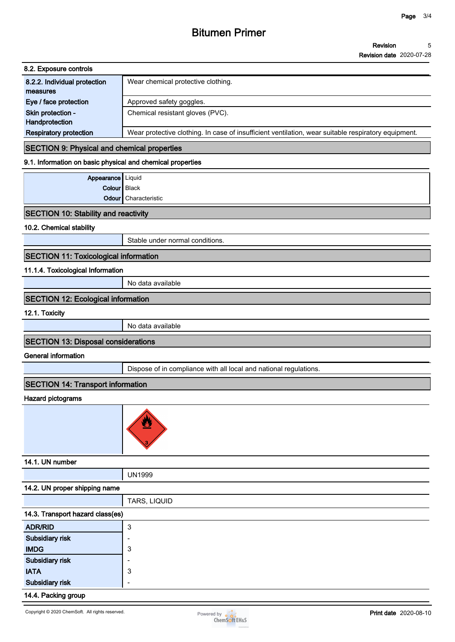# **Bitumen Primer**

**Revision Revision date 2020-07-28 5**

| 8.2. Exposure controls        |                                                                                                     |
|-------------------------------|-----------------------------------------------------------------------------------------------------|
| 8.2.2. Individual protection  | Wear chemical protective clothing.                                                                  |
| measures                      |                                                                                                     |
| Eye / face protection         | Approved safety goggles.                                                                            |
| Skin protection -             | Chemical resistant gloves (PVC).                                                                    |
| Handprotection                |                                                                                                     |
| <b>Respiratory protection</b> | Wear protective clothing. In case of insufficient ventilation, wear suitable respiratory equipment. |

# **SECTION 9: Physical and chemical properties**

### **9.1. Information on basic physical and chemical properties**

| Appearance   Liquid |                      |
|---------------------|----------------------|
| Colour   Black      |                      |
|                     | Odour Characteristic |

# **SECTION 10: Stability and reactivity**

# **10.2. Chemical stability**

**Stable under normal conditions.**

# **SECTION 11: Toxicological information**

# **11.1.4. Toxicological Information**

**No data available**

## **SECTION 12: Ecological information**

#### **12.1. Toxicity**

**No data available**

# **SECTION 13: Disposal considerations**

## **General information**

**Dispose of in compliance with all local and national regulations.**

# **SECTION 14: Transport information**

#### **Hazard pictograms**



| 14.1. UN number                  |               |  |
|----------------------------------|---------------|--|
|                                  | <b>UN1999</b> |  |
| 14.2. UN proper shipping name    |               |  |
|                                  | TARS, LIQUID  |  |
| 14.3. Transport hazard class(es) |               |  |
| <b>ADR/RID</b>                   | 3             |  |
| Subsidiary risk                  |               |  |
| <b>IMDG</b>                      | 3             |  |
| Subsidiary risk                  |               |  |
| <b>IATA</b>                      | 3             |  |
| <b>Subsidiary risk</b>           |               |  |
| .                                |               |  |

# **14.4. Packing group**